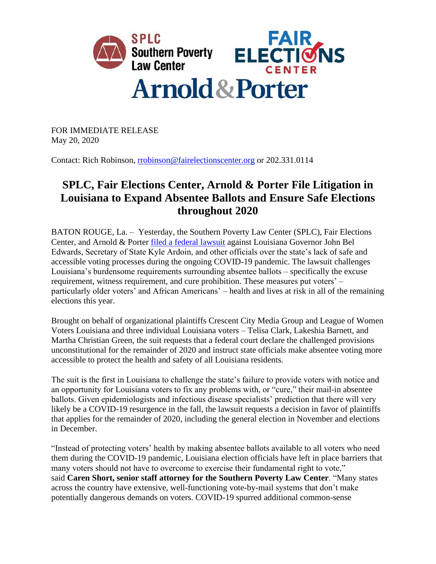

FOR IMMEDIATE RELEASE May 20, 2020

Contact: Rich Robinson, [rrobinson@fairelectionscenter.org](mailto:rrobinson@fairelectionscenter.org) or 202.331.0114

## **SPLC, Fair Elections Center, Arnold & Porter File Litigation in Louisiana to Expand Absentee Ballots and Ensure Safe Elections throughout 2020**

BATON ROUGE, La. – Yesterday, the Southern Poverty Law Center (SPLC), Fair Elections Center, and Arnold & Porter [filed a federal lawsuit](https://www.splcenter.org/sites/default/files/clark_v._edwards_-_complaint_file_stamped.pdf) against Louisiana Governor John Bel Edwards, Secretary of State Kyle Ardoin, and other officials over the state's lack of safe and accessible voting processes during the ongoing COVID-19 pandemic. The lawsuit challenges Louisiana's burdensome requirements surrounding absentee ballots – specifically the excuse requirement, witness requirement, and cure prohibition. These measures put voters' – particularly older voters' and African Americans' – health and lives at risk in all of the remaining elections this year.

Brought on behalf of organizational plaintiffs Crescent City Media Group and League of Women Voters Louisiana and three individual Louisiana voters – Telisa Clark, Lakeshia Barnett, and Martha Christian Green, the suit requests that a federal court declare the challenged provisions unconstitutional for the remainder of 2020 and instruct state officials make absentee voting more accessible to protect the health and safety of all Louisiana residents.

The suit is the first in Louisiana to challenge the state's failure to provide voters with notice and an opportunity for Louisiana voters to fix any problems with, or "cure," their mail-in absentee ballots. Given epidemiologists and infectious disease specialists' prediction that there will very likely be a COVID-19 resurgence in the fall, the lawsuit requests a decision in favor of plaintiffs that applies for the remainder of 2020, including the general election in November and elections in December.

"Instead of protecting voters' health by making absentee ballots available to all voters who need them during the COVID-19 pandemic, Louisiana election officials have left in place barriers that many voters should not have to overcome to exercise their fundamental right to vote," said **Caren Short, senior staff attorney for the Southern Poverty Law Center**. "Many states across the country have extensive, well-functioning vote-by-mail systems that don't make potentially dangerous demands on voters. COVID-19 spurred additional common-sense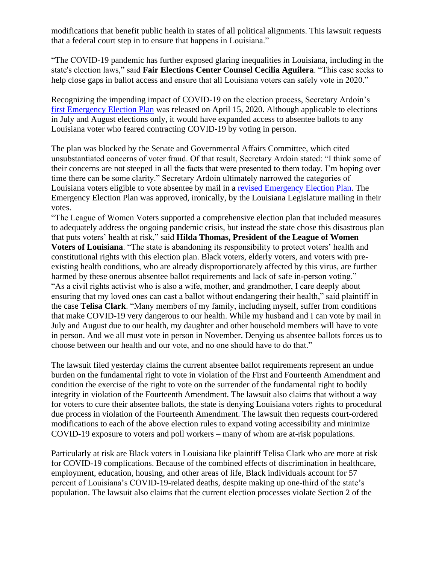modifications that benefit public health in states of all political alignments. This lawsuit requests that a federal court step in to ensure that happens in Louisiana."

"The COVID-19 pandemic has further exposed glaring inequalities in Louisiana, including in the state's election laws," said **Fair Elections Center Counsel Cecilia Aguilera**. "This case seeks to help close gaps in ballot access and ensure that all Louisiana voters can safely vote in 2020."

Recognizing the impending impact of COVID-19 on the election process, Secretary Ardoin's [first Emergency Election Plan](https://www.splcenter.org/presscenter/splc-action-fund-louisiana-senate-committee-action-hurtling-state-wisconsin-election) was released on April 15, 2020. Although applicable to elections in July and August elections only, it would have expanded access to absentee ballots to any Louisiana voter who feared contracting COVID-19 by voting in person.

The plan was blocked by the Senate and Governmental Affairs Committee, which cited unsubstantiated concerns of voter fraud. Of that result, Secretary Ardoin stated: "I think some of their concerns are not steeped in all the facts that were presented to them today. I'm hoping over time there can be some clarity." Secretary Ardoin ultimately narrowed the categories of Louisiana voters eligible to vote absentee by mail in a [revised Emergency Election Plan.](https://www.splcenter.org/presscenter/splc-action-fund-louisiana-legislators-election-plan-needlessly-risks-voters-health) The Emergency Election Plan was approved, ironically, by the Louisiana Legislature mailing in their votes.

"The League of Women Voters supported a comprehensive election plan that included measures to adequately address the ongoing pandemic crisis, but instead the state chose this disastrous plan that puts voters' health at risk," said **Hilda Thomas, President of the League of Women Voters of Louisiana**. "The state is abandoning its responsibility to protect voters' health and constitutional rights with this election plan. Black voters, elderly voters, and voters with preexisting health conditions, who are already disproportionately affected by this virus, are further harmed by these onerous absentee ballot requirements and lack of safe in-person voting." "As a civil rights activist who is also a wife, mother, and grandmother, I care deeply about ensuring that my loved ones can cast a ballot without endangering their health," said plaintiff in the case **Telisa Clark**. "Many members of my family, including myself, suffer from conditions that make COVID-19 very dangerous to our health. While my husband and I can vote by mail in July and August due to our health, my daughter and other household members will have to vote in person. And we all must vote in person in November. Denying us absentee ballots forces us to choose between our health and our vote, and no one should have to do that."

The lawsuit filed yesterday claims the current absentee ballot requirements represent an undue burden on the fundamental right to vote in violation of the First and Fourteenth Amendment and condition the exercise of the right to vote on the surrender of the fundamental right to bodily integrity in violation of the Fourteenth Amendment. The lawsuit also claims that without a way for voters to cure their absentee ballots, the state is denying Louisiana voters rights to procedural due process in violation of the Fourteenth Amendment. The lawsuit then requests court-ordered modifications to each of the above election rules to expand voting accessibility and minimize COVID-19 exposure to voters and poll workers – many of whom are at-risk populations.

Particularly at risk are Black voters in Louisiana like plaintiff Telisa Clark who are more at risk for COVID-19 complications. Because of the combined effects of discrimination in healthcare, employment, education, housing, and other areas of life, Black individuals account for 57 percent of Louisiana's COVID-19-related deaths, despite making up one-third of the state's population. The lawsuit also claims that the current election processes violate Section 2 of the